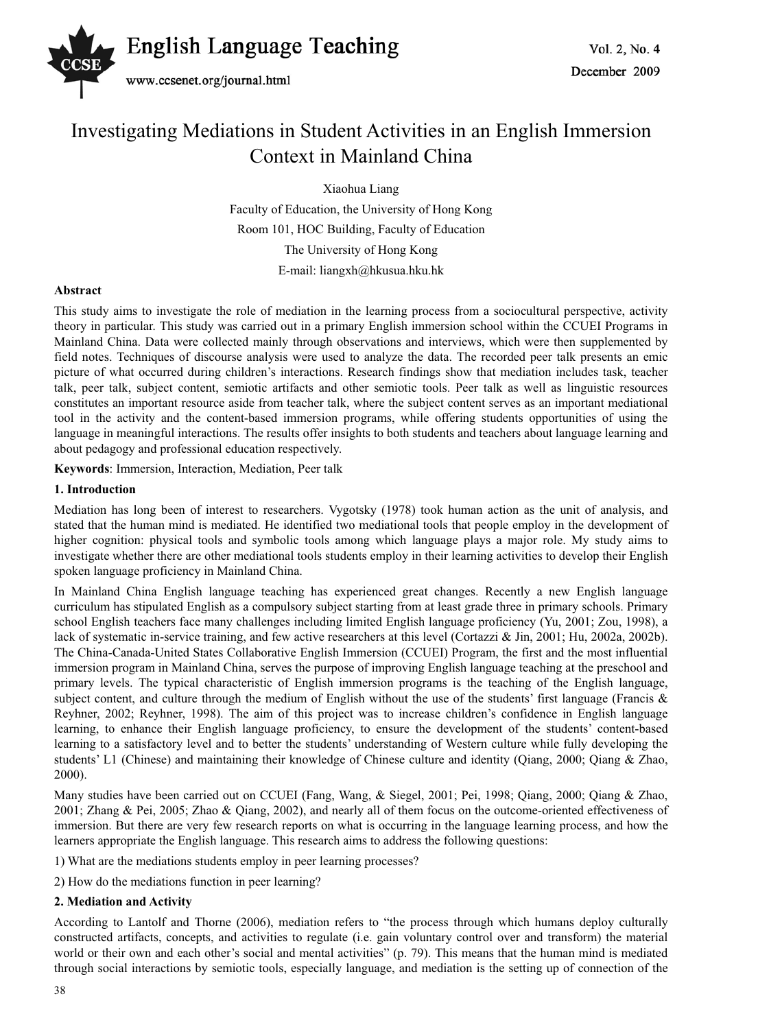

# Investigating Mediations in Student Activities in an English Immersion Context in Mainland China

Xiaohua Liang

Faculty of Education, the University of Hong Kong Room 101, HOC Building, Faculty of Education The University of Hong Kong E-mail: liangxh@hkusua.hku.hk

#### **Abstract**

This study aims to investigate the role of mediation in the learning process from a sociocultural perspective, activity theory in particular. This study was carried out in a primary English immersion school within the CCUEI Programs in Mainland China. Data were collected mainly through observations and interviews, which were then supplemented by field notes. Techniques of discourse analysis were used to analyze the data. The recorded peer talk presents an emic picture of what occurred during children's interactions. Research findings show that mediation includes task, teacher talk, peer talk, subject content, semiotic artifacts and other semiotic tools. Peer talk as well as linguistic resources constitutes an important resource aside from teacher talk, where the subject content serves as an important mediational tool in the activity and the content-based immersion programs, while offering students opportunities of using the language in meaningful interactions. The results offer insights to both students and teachers about language learning and about pedagogy and professional education respectively.

**Keywords**: Immersion, Interaction, Mediation, Peer talk

#### **1. Introduction**

Mediation has long been of interest to researchers. Vygotsky (1978) took human action as the unit of analysis, and stated that the human mind is mediated. He identified two mediational tools that people employ in the development of higher cognition: physical tools and symbolic tools among which language plays a major role. My study aims to investigate whether there are other mediational tools students employ in their learning activities to develop their English spoken language proficiency in Mainland China.

In Mainland China English language teaching has experienced great changes. Recently a new English language curriculum has stipulated English as a compulsory subject starting from at least grade three in primary schools. Primary school English teachers face many challenges including limited English language proficiency (Yu, 2001; Zou, 1998), a lack of systematic in-service training, and few active researchers at this level (Cortazzi & Jin, 2001; Hu, 2002a, 2002b). The China-Canada-United States Collaborative English Immersion (CCUEI) Program, the first and the most influential immersion program in Mainland China, serves the purpose of improving English language teaching at the preschool and primary levels. The typical characteristic of English immersion programs is the teaching of the English language, subject content, and culture through the medium of English without the use of the students' first language (Francis & Reyhner, 2002; Reyhner, 1998). The aim of this project was to increase children's confidence in English language learning, to enhance their English language proficiency, to ensure the development of the students' content-based learning to a satisfactory level and to better the students' understanding of Western culture while fully developing the students' L1 (Chinese) and maintaining their knowledge of Chinese culture and identity (Qiang, 2000; Qiang & Zhao, 2000).

Many studies have been carried out on CCUEI (Fang, Wang, & Siegel, 2001; Pei, 1998; Qiang, 2000; Qiang & Zhao, 2001; Zhang & Pei, 2005; Zhao & Qiang, 2002), and nearly all of them focus on the outcome-oriented effectiveness of immersion. But there are very few research reports on what is occurring in the language learning process, and how the learners appropriate the English language. This research aims to address the following questions:

1) What are the mediations students employ in peer learning processes?

2) How do the mediations function in peer learning?

## **2. Mediation and Activity**

According to Lantolf and Thorne (2006), mediation refers to "the process through which humans deploy culturally constructed artifacts, concepts, and activities to regulate (i.e. gain voluntary control over and transform) the material world or their own and each other's social and mental activities" (p. 79). This means that the human mind is mediated through social interactions by semiotic tools, especially language, and mediation is the setting up of connection of the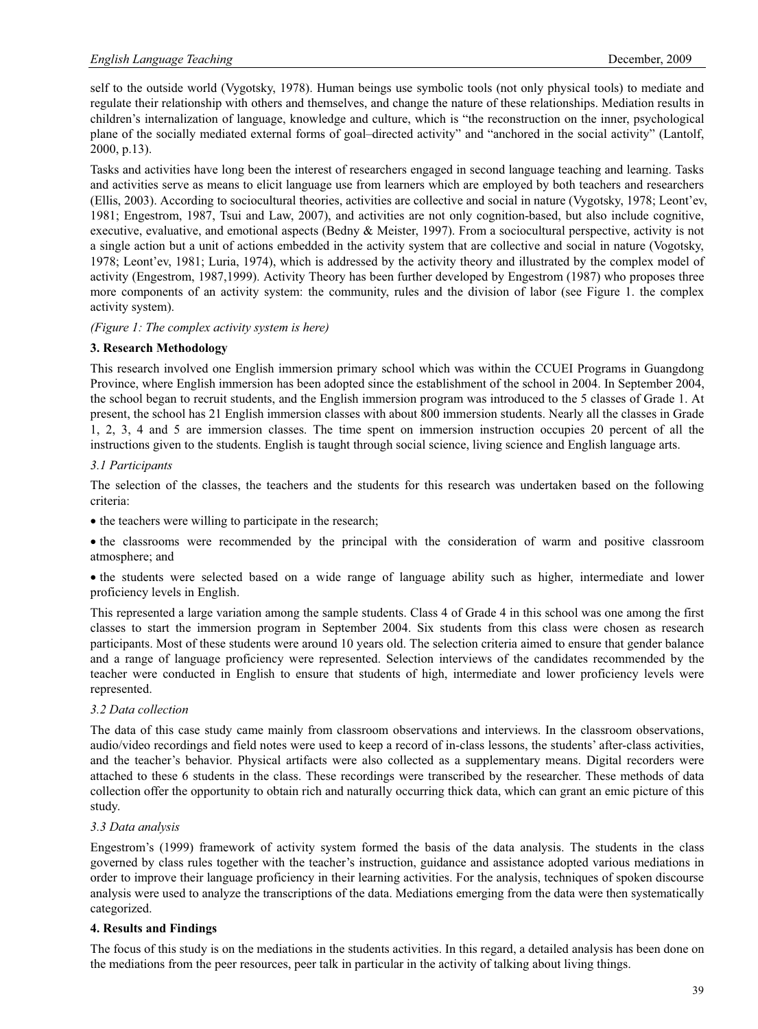self to the outside world (Vygotsky, 1978). Human beings use symbolic tools (not only physical tools) to mediate and regulate their relationship with others and themselves, and change the nature of these relationships. Mediation results in children's internalization of language, knowledge and culture, which is "the reconstruction on the inner, psychological plane of the socially mediated external forms of goal–directed activity" and "anchored in the social activity" (Lantolf, 2000, p.13).

Tasks and activities have long been the interest of researchers engaged in second language teaching and learning. Tasks and activities serve as means to elicit language use from learners which are employed by both teachers and researchers (Ellis, 2003). According to sociocultural theories, activities are collective and social in nature (Vygotsky, 1978; Leont'ev, 1981; Engestrom, 1987, Tsui and Law, 2007), and activities are not only cognition-based, but also include cognitive, executive, evaluative, and emotional aspects (Bedny & Meister, 1997). From a sociocultural perspective, activity is not a single action but a unit of actions embedded in the activity system that are collective and social in nature (Vogotsky, 1978; Leont'ev, 1981; Luria, 1974), which is addressed by the activity theory and illustrated by the complex model of activity (Engestrom, 1987,1999). Activity Theory has been further developed by Engestrom (1987) who proposes three more components of an activity system: the community, rules and the division of labor (see Figure 1. the complex activity system).

*(Figure 1: The complex activity system is here)* 

## **3. Research Methodology**

This research involved one English immersion primary school which was within the CCUEI Programs in Guangdong Province, where English immersion has been adopted since the establishment of the school in 2004. In September 2004, the school began to recruit students, and the English immersion program was introduced to the 5 classes of Grade 1. At present, the school has 21 English immersion classes with about 800 immersion students. Nearly all the classes in Grade 1, 2, 3, 4 and 5 are immersion classes. The time spent on immersion instruction occupies 20 percent of all the instructions given to the students. English is taught through social science, living science and English language arts.

#### *3.1 Participants*

The selection of the classes, the teachers and the students for this research was undertaken based on the following criteria:

 $\bullet$  the teachers were willing to participate in the research;

x the classrooms were recommended by the principal with the consideration of warm and positive classroom atmosphere; and

x the students were selected based on a wide range of language ability such as higher, intermediate and lower proficiency levels in English.

This represented a large variation among the sample students. Class 4 of Grade 4 in this school was one among the first classes to start the immersion program in September 2004. Six students from this class were chosen as research participants. Most of these students were around 10 years old. The selection criteria aimed to ensure that gender balance and a range of language proficiency were represented. Selection interviews of the candidates recommended by the teacher were conducted in English to ensure that students of high, intermediate and lower proficiency levels were represented.

#### *3.2 Data collection*

The data of this case study came mainly from classroom observations and interviews. In the classroom observations, audio/video recordings and field notes were used to keep a record of in-class lessons, the students' after-class activities, and the teacher's behavior. Physical artifacts were also collected as a supplementary means. Digital recorders were attached to these 6 students in the class. These recordings were transcribed by the researcher. These methods of data collection offer the opportunity to obtain rich and naturally occurring thick data, which can grant an emic picture of this study.

#### *3.3 Data analysis*

Engestrom's (1999) framework of activity system formed the basis of the data analysis. The students in the class governed by class rules together with the teacher's instruction, guidance and assistance adopted various mediations in order to improve their language proficiency in their learning activities. For the analysis, techniques of spoken discourse analysis were used to analyze the transcriptions of the data. Mediations emerging from the data were then systematically categorized.

#### **4. Results and Findings**

The focus of this study is on the mediations in the students activities. In this regard, a detailed analysis has been done on the mediations from the peer resources, peer talk in particular in the activity of talking about living things.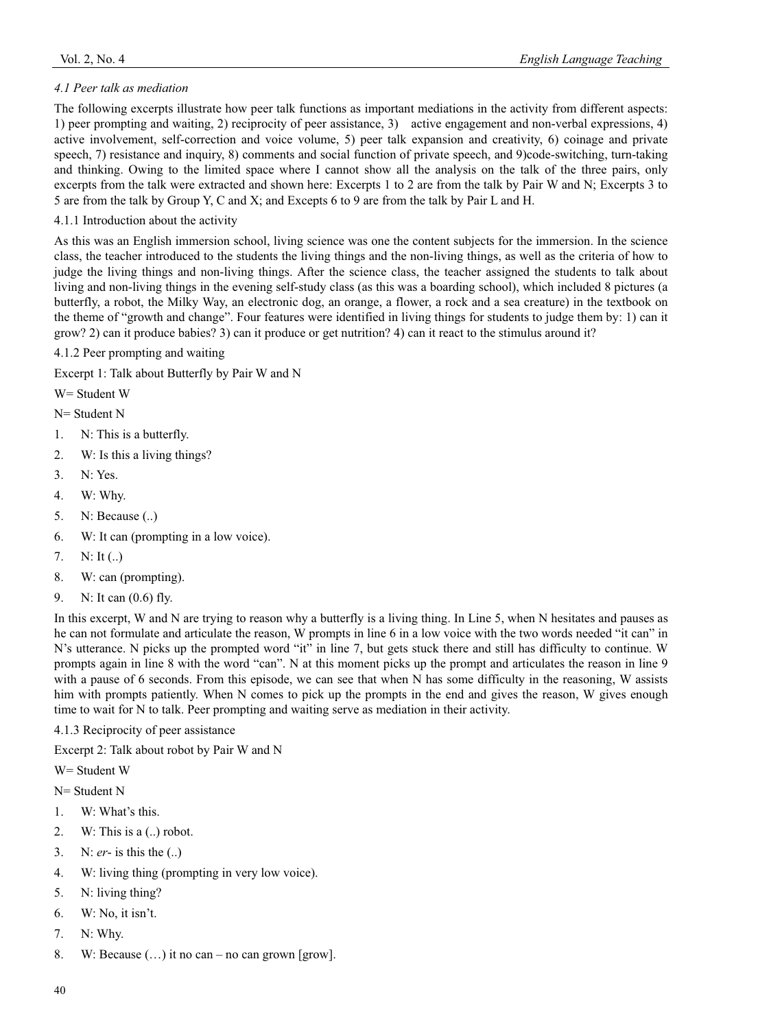## *4.1 Peer talk as mediation*

The following excerpts illustrate how peer talk functions as important mediations in the activity from different aspects: 1) peer prompting and waiting, 2) reciprocity of peer assistance, 3) active engagement and non-verbal expressions, 4) active involvement, self-correction and voice volume, 5) peer talk expansion and creativity, 6) coinage and private speech, 7) resistance and inquiry, 8) comments and social function of private speech, and 9)code-switching, turn-taking and thinking. Owing to the limited space where I cannot show all the analysis on the talk of the three pairs, only excerpts from the talk were extracted and shown here: Excerpts 1 to 2 are from the talk by Pair W and N; Excerpts 3 to 5 are from the talk by Group Y, C and X; and Excepts 6 to 9 are from the talk by Pair L and H.

## 4.1.1 Introduction about the activity

As this was an English immersion school, living science was one the content subjects for the immersion. In the science class, the teacher introduced to the students the living things and the non-living things, as well as the criteria of how to judge the living things and non-living things. After the science class, the teacher assigned the students to talk about living and non-living things in the evening self-study class (as this was a boarding school), which included 8 pictures (a butterfly, a robot, the Milky Way, an electronic dog, an orange, a flower, a rock and a sea creature) in the textbook on the theme of "growth and change". Four features were identified in living things for students to judge them by: 1) can it grow? 2) can it produce babies? 3) can it produce or get nutrition? 4) can it react to the stimulus around it?

## 4.1.2 Peer prompting and waiting

Excerpt 1: Talk about Butterfly by Pair W and N

W= Student W

N= Student N

- 1. N: This is a butterfly.
- 2. W: Is this a living things?
- 3. N: Yes.
- 4. W: Why.
- 5. N: Because (..)
- 6. W: It can (prompting in a low voice).
- 7. N: It (..)
- 8. W: can (prompting).
- 9. N: It can (0.6) fly.

In this excerpt, W and N are trying to reason why a butterfly is a living thing. In Line 5, when N hesitates and pauses as he can not formulate and articulate the reason, W prompts in line 6 in a low voice with the two words needed "it can" in N's utterance. N picks up the prompted word "it" in line 7, but gets stuck there and still has difficulty to continue. W prompts again in line 8 with the word "can". N at this moment picks up the prompt and articulates the reason in line 9 with a pause of 6 seconds. From this episode, we can see that when N has some difficulty in the reasoning, W assists him with prompts patiently. When N comes to pick up the prompts in the end and gives the reason, W gives enough time to wait for N to talk. Peer prompting and waiting serve as mediation in their activity.

4.1.3 Reciprocity of peer assistance

Excerpt 2: Talk about robot by Pair W and N

W= Student W

N= Student N

- 1. W: What's this.
- 2. W: This is a (..) robot.
- 3. N: *er* is this the (..)
- 4. W: living thing (prompting in very low voice).
- 5. N: living thing?
- 6. W: No, it isn't.
- 7. N: Why.
- 8. W: Because  $(...)$  it no can no can grown [grow].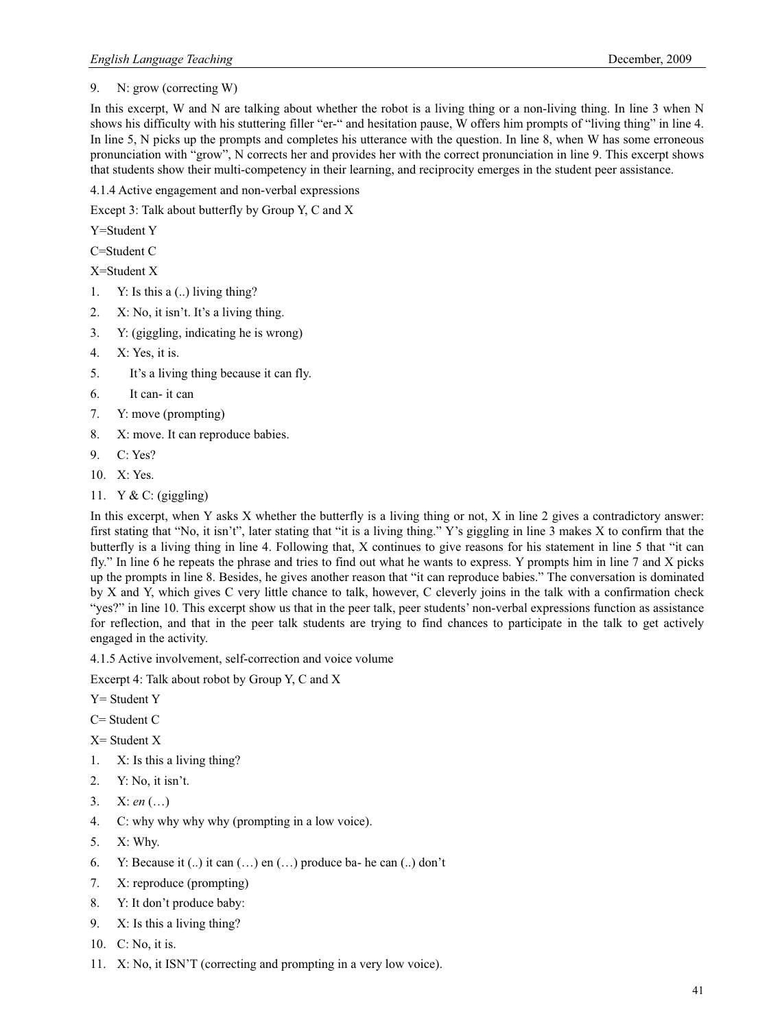## 9. N: grow (correcting W)

In this excerpt, W and N are talking about whether the robot is a living thing or a non-living thing. In line 3 when N shows his difficulty with his stuttering filler "er-" and hesitation pause, W offers him prompts of "living thing" in line 4. In line 5, N picks up the prompts and completes his utterance with the question. In line 8, when W has some erroneous pronunciation with "grow", N corrects her and provides her with the correct pronunciation in line 9. This excerpt shows that students show their multi-competency in their learning, and reciprocity emerges in the student peer assistance.

4.1.4 Active engagement and non-verbal expressions

Except 3: Talk about butterfly by Group Y, C and X

Y=Student Y

C=Student C

X=Student X

- 1. Y: Is this a (..) living thing?
- 2. X: No, it isn't. It's a living thing.
- 3. Y: (giggling, indicating he is wrong)
- 4. X: Yes, it is.
- 5. It's a living thing because it can fly.
- 6. It can- it can
- 7. Y: move (prompting)
- 8. X: move. It can reproduce babies.
- 9. C: Yes?
- 10. X: Yes.
- 11. Y & C: (giggling)

In this excerpt, when Y asks X whether the butterfly is a living thing or not, X in line 2 gives a contradictory answer: first stating that "No, it isn't", later stating that "it is a living thing." Y's giggling in line 3 makes X to confirm that the butterfly is a living thing in line 4. Following that, X continues to give reasons for his statement in line 5 that "it can fly." In line 6 he repeats the phrase and tries to find out what he wants to express. Y prompts him in line 7 and X picks up the prompts in line 8. Besides, he gives another reason that "it can reproduce babies." The conversation is dominated by X and Y, which gives C very little chance to talk, however, C cleverly joins in the talk with a confirmation check "yes?" in line 10. This excerpt show us that in the peer talk, peer students' non-verbal expressions function as assistance for reflection, and that in the peer talk students are trying to find chances to participate in the talk to get actively engaged in the activity.

4.1.5 Active involvement, self-correction and voice volume

Excerpt 4: Talk about robot by Group Y, C and X

- Y= Student Y
- C= Student C
- X= Student X
- 1. X: Is this a living thing?
- 2. Y: No, it isn't.
- 3. X: *en* (…)
- 4. C: why why why why (prompting in a low voice).
- 5. X: Why.
- 6. Y: Because it (..) it can  $(...)$  en  $(...)$  produce ba- he can  $(.)$  don't
- 7. X: reproduce (prompting)
- 8. Y: It don't produce baby:
- 9. X: Is this a living thing?
- 10. C: No, it is.
- 11. X: No, it ISN'T (correcting and prompting in a very low voice).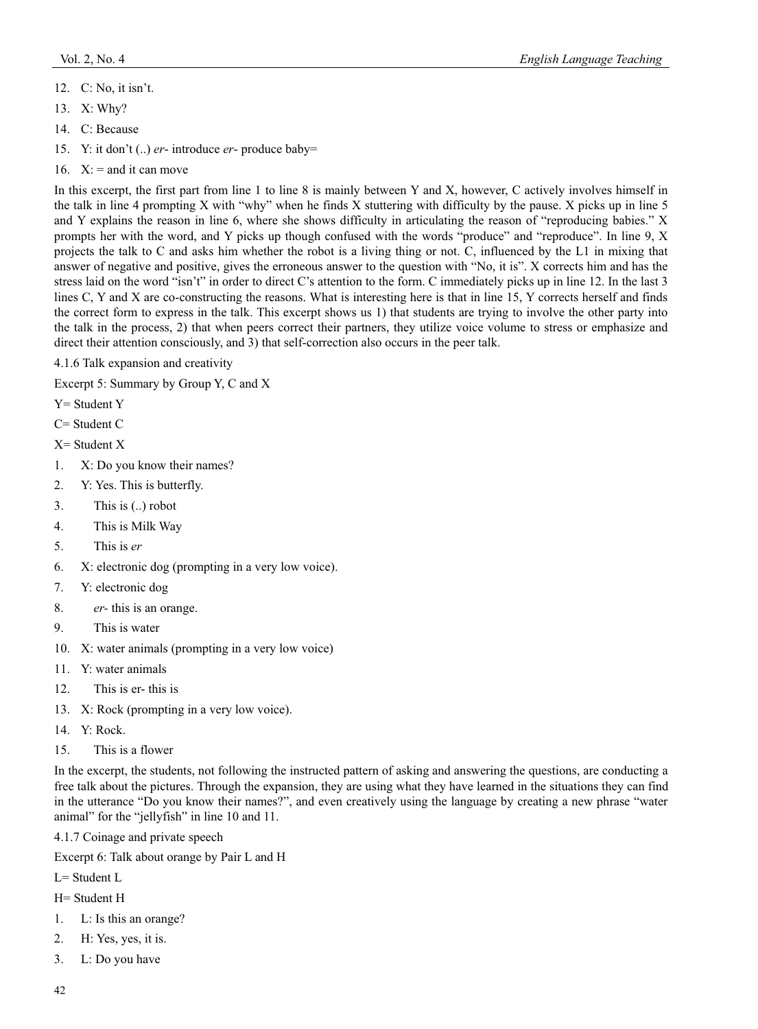- Vol. 2, No. 4 *English Language Teaching*
- 12. C: No, it isn't.
- 13. X: Why?
- 14. C: Because
- 15. Y: it don't (..) *er* introduce *er* produce baby=
- 16.  $X: =$  and it can move

In this excerpt, the first part from line 1 to line 8 is mainly between Y and X, however, C actively involves himself in the talk in line 4 prompting X with "why" when he finds X stuttering with difficulty by the pause. X picks up in line 5 and Y explains the reason in line 6, where she shows difficulty in articulating the reason of "reproducing babies." X prompts her with the word, and Y picks up though confused with the words "produce" and "reproduce". In line 9, X projects the talk to C and asks him whether the robot is a living thing or not. C, influenced by the L1 in mixing that answer of negative and positive, gives the erroneous answer to the question with "No, it is". X corrects him and has the stress laid on the word "isn't" in order to direct C's attention to the form. C immediately picks up in line 12. In the last 3 lines C, Y and X are co-constructing the reasons. What is interesting here is that in line 15, Y corrects herself and finds the correct form to express in the talk. This excerpt shows us 1) that students are trying to involve the other party into the talk in the process, 2) that when peers correct their partners, they utilize voice volume to stress or emphasize and direct their attention consciously, and 3) that self-correction also occurs in the peer talk.

4.1.6 Talk expansion and creativity

Excerpt 5: Summary by Group Y, C and X

- Y= Student Y
- C= Student C
- X= Student X
- 1. X: Do you know their names?
- 2. Y: Yes. This is butterfly.
- 3. This is (..) robot
- 4. This is Milk Way
- 5. This is *er*
- 6. X: electronic dog (prompting in a very low voice).
- 7. Y: electronic dog
- 8. *er-* this is an orange.
- 9. This is water
- 10. X: water animals (prompting in a very low voice)
- 11. Y: water animals
- 12. This is er- this is
- 13. X: Rock (prompting in a very low voice).
- 14. Y: Rock.
- 15. This is a flower

In the excerpt, the students, not following the instructed pattern of asking and answering the questions, are conducting a free talk about the pictures. Through the expansion, they are using what they have learned in the situations they can find in the utterance "Do you know their names?", and even creatively using the language by creating a new phrase "water animal" for the "jellyfish" in line 10 and 11.

4.1.7 Coinage and private speech

Excerpt 6: Talk about orange by Pair L and H

- L= Student L
- H= Student H
- 1. L: Is this an orange?
- 2. H: Yes, yes, it is.
- 3. L: Do you have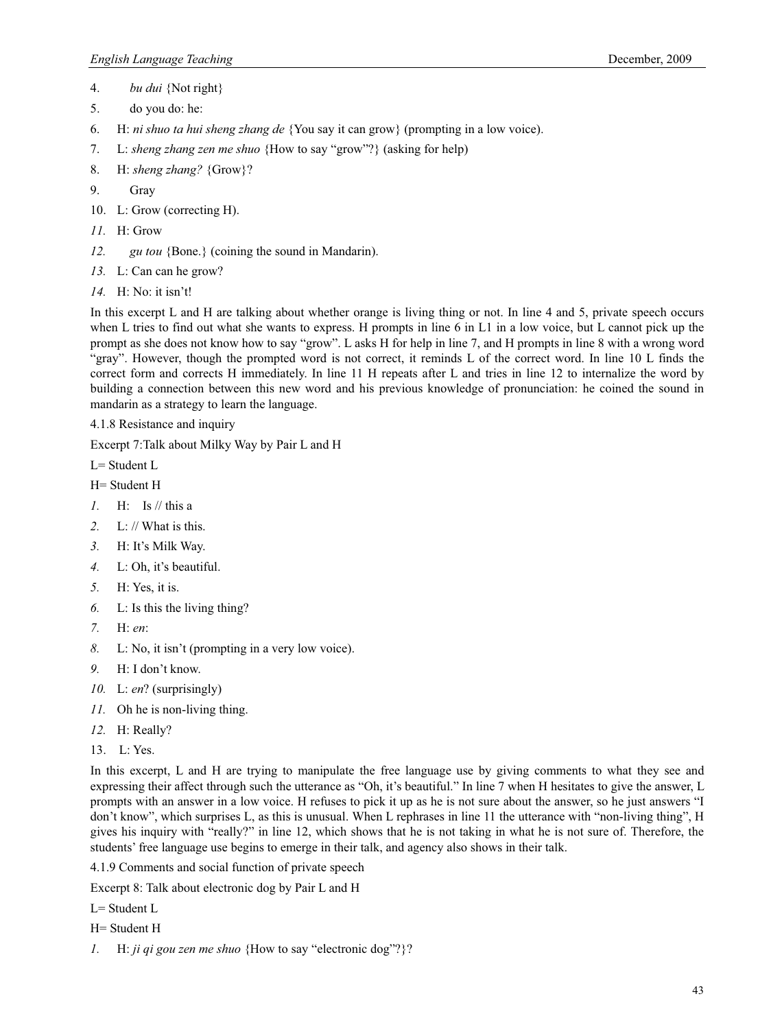- 4. *bu dui* {Not right}
- 5. do you do: he:
- 6. H: *ni shuo ta hui sheng zhang de* {You say it can grow} (prompting in a low voice).
- 7. L: *sheng zhang zen me shuo* {How to say "grow"?} (asking for help)
- 8. H: *sheng zhang?* {Grow}?
- 9. Gray
- 10. L: Grow (correcting H).
- *11.* H: Grow
- *12. gu tou* {Bone.} (coining the sound in Mandarin).
- *13.* L: Can can he grow?
- *14.* H: No: it isn't!

In this excerpt L and H are talking about whether orange is living thing or not. In line 4 and 5, private speech occurs when L tries to find out what she wants to express. H prompts in line 6 in L1 in a low voice, but L cannot pick up the prompt as she does not know how to say "grow". L asks H for help in line 7, and H prompts in line 8 with a wrong word "gray". However, though the prompted word is not correct, it reminds L of the correct word. In line 10 L finds the correct form and corrects H immediately. In line 11 H repeats after L and tries in line 12 to internalize the word by building a connection between this new word and his previous knowledge of pronunciation: he coined the sound in mandarin as a strategy to learn the language.

4.1.8 Resistance and inquiry

Excerpt 7:Talk about Milky Way by Pair L and H

L= Student L

H= Student H

- *1.* H: Is // this a
- *2.* L: // What is this.
- *3.* H: It's Milk Way.
- *4.* L: Oh, it's beautiful.
- *5.* H: Yes, it is.
- *6.* L: Is this the living thing?
- *7.* H: *en*:
- *8.* L: No, it isn't (prompting in a very low voice).
- *9.* H: I don't know.
- *10.* L: *en*? (surprisingly)
- *11.* Oh he is non-living thing.
- *12.* H: Really?
- 13. L: Yes.

In this excerpt, L and H are trying to manipulate the free language use by giving comments to what they see and expressing their affect through such the utterance as "Oh, it's beautiful." In line 7 when H hesitates to give the answer, L prompts with an answer in a low voice. H refuses to pick it up as he is not sure about the answer, so he just answers "I don't know", which surprises L, as this is unusual. When L rephrases in line 11 the utterance with "non-living thing", H gives his inquiry with "really?" in line 12, which shows that he is not taking in what he is not sure of. Therefore, the students' free language use begins to emerge in their talk, and agency also shows in their talk.

4.1.9 Comments and social function of private speech

Excerpt 8: Talk about electronic dog by Pair L and H

L= Student L

H= Student H

*1.* H: *ji qi gou zen me shuo* {How to say "electronic dog"?}?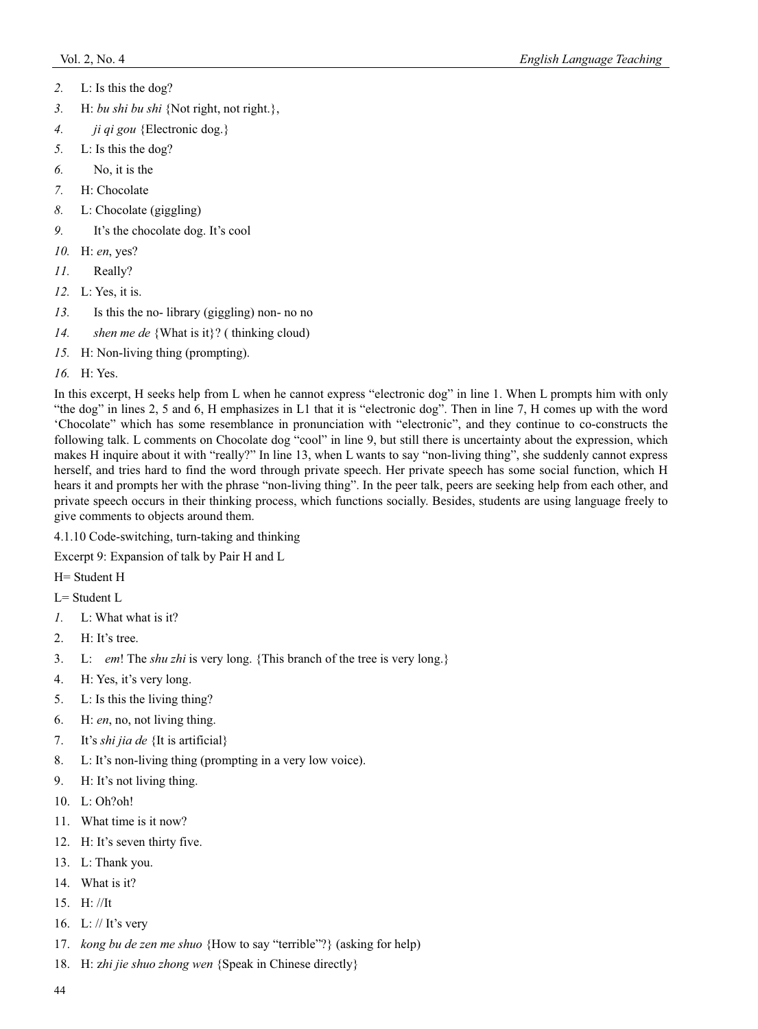- *2.* L: Is this the dog?
- *3.* H: *bu shi bu shi* {Not right, not right.},
- *4. ji qi gou* {Electronic dog.}
- *5.* L: Is this the dog?
- *6.* No, it is the
- *7.* H: Chocolate
- *8.* L: Chocolate (giggling)
- *9.* It's the chocolate dog. It's cool
- *10.* H: *en*, yes?
- *11.* Really?
- *12.* L: Yes, it is.
- *13.* Is this the no- library (giggling) non- no no
- *14. shen me de* {What is it}? ( thinking cloud)
- *15.* H: Non-living thing (prompting).
- *16.* H: Yes.

In this excerpt, H seeks help from L when he cannot express "electronic dog" in line 1. When L prompts him with only "the dog" in lines 2, 5 and 6, H emphasizes in L1 that it is "electronic dog". Then in line 7, H comes up with the word 'Chocolate" which has some resemblance in pronunciation with "electronic", and they continue to co-constructs the following talk. L comments on Chocolate dog "cool" in line 9, but still there is uncertainty about the expression, which makes H inquire about it with "really?" In line 13, when L wants to say "non-living thing", she suddenly cannot express herself, and tries hard to find the word through private speech. Her private speech has some social function, which H hears it and prompts her with the phrase "non-living thing". In the peer talk, peers are seeking help from each other, and private speech occurs in their thinking process, which functions socially. Besides, students are using language freely to give comments to objects around them.

4.1.10 Code-switching, turn-taking and thinking

Excerpt 9: Expansion of talk by Pair H and L

- H= Student H
- L= Student L
- *1.* L: What what is it?
- 2. H: It's tree.
- 3. L: *em*! The *shu zhi* is very long. {This branch of the tree is very long.}
- 4. H: Yes, it's very long.
- 5. L: Is this the living thing?
- 6. H: *en*, no, not living thing.
- 7. It's *shi jia de* {It is artificial}
- 8. L: It's non-living thing (prompting in a very low voice).
- 9. H: It's not living thing.
- 10. L: Oh?oh!
- 11. What time is it now?
- 12. H: It's seven thirty five.
- 13. L: Thank you.
- 14. What is it?
- 15. H: //It
- 16. L: // It's very
- 17. *kong bu de zen me shuo* {How to say "terrible"?} (asking for help)
- 18. H: z*hi jie shuo zhong wen* {Speak in Chinese directly}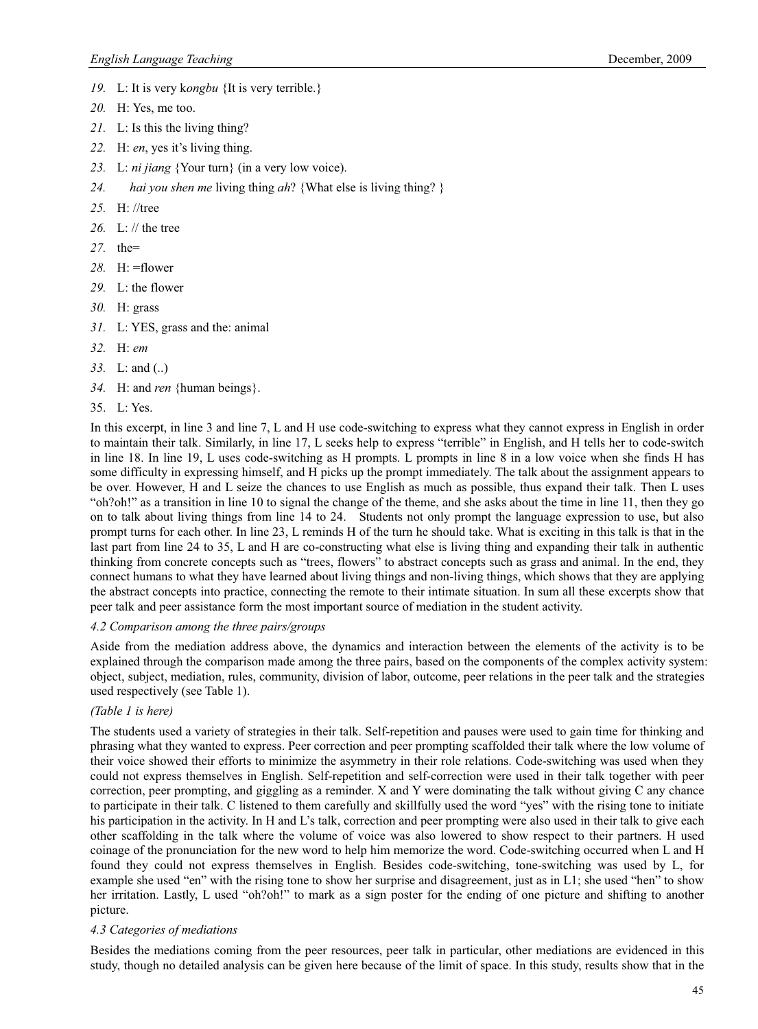- *19.* L: It is very k*ongbu* {It is very terrible.}
- *20.* H: Yes, me too.
- *21.* L: Is this the living thing?
- *22.* H: *en*, yes it's living thing.
- *23.* L: *ni jiang* {Your turn} (in a very low voice).
- *24. hai you shen me* living thing *ah*? {What else is living thing? }
- *25.* H: //tree
- *26.* L: // the tree
- *27.* the=
- *28.* H: =flower
- *29.* L: the flower
- *30.* H: grass
- *31.* L: YES, grass and the: animal
- *32.* H: *em*
- *33.* L: and (..)
- *34.* H: and *ren* {human beings}.
- 35. L: Yes.

In this excerpt, in line 3 and line 7, L and H use code-switching to express what they cannot express in English in order to maintain their talk. Similarly, in line 17, L seeks help to express "terrible" in English, and H tells her to code-switch in line 18. In line 19, L uses code-switching as H prompts. L prompts in line 8 in a low voice when she finds H has some difficulty in expressing himself, and H picks up the prompt immediately. The talk about the assignment appears to be over. However, H and L seize the chances to use English as much as possible, thus expand their talk. Then L uses "oh?oh!" as a transition in line 10 to signal the change of the theme, and she asks about the time in line 11, then they go on to talk about living things from line 14 to 24. Students not only prompt the language expression to use, but also prompt turns for each other. In line 23, L reminds H of the turn he should take. What is exciting in this talk is that in the last part from line 24 to 35, L and H are co-constructing what else is living thing and expanding their talk in authentic thinking from concrete concepts such as "trees, flowers" to abstract concepts such as grass and animal. In the end, they connect humans to what they have learned about living things and non-living things, which shows that they are applying the abstract concepts into practice, connecting the remote to their intimate situation. In sum all these excerpts show that peer talk and peer assistance form the most important source of mediation in the student activity.

#### *4.2 Comparison among the three pairs/groups*

Aside from the mediation address above, the dynamics and interaction between the elements of the activity is to be explained through the comparison made among the three pairs, based on the components of the complex activity system: object, subject, mediation, rules, community, division of labor, outcome, peer relations in the peer talk and the strategies used respectively (see Table 1).

#### *(Table 1 is here)*

The students used a variety of strategies in their talk. Self-repetition and pauses were used to gain time for thinking and phrasing what they wanted to express. Peer correction and peer prompting scaffolded their talk where the low volume of their voice showed their efforts to minimize the asymmetry in their role relations. Code-switching was used when they could not express themselves in English. Self-repetition and self-correction were used in their talk together with peer correction, peer prompting, and giggling as a reminder. X and Y were dominating the talk without giving C any chance to participate in their talk. C listened to them carefully and skillfully used the word "yes" with the rising tone to initiate his participation in the activity. In H and L's talk, correction and peer prompting were also used in their talk to give each other scaffolding in the talk where the volume of voice was also lowered to show respect to their partners. H used coinage of the pronunciation for the new word to help him memorize the word. Code-switching occurred when L and H found they could not express themselves in English. Besides code-switching, tone-switching was used by L, for example she used "en" with the rising tone to show her surprise and disagreement, just as in L1; she used "hen" to show her irritation. Lastly, L used "oh?oh!" to mark as a sign poster for the ending of one picture and shifting to another picture.

#### *4.3 Categories of mediations*

Besides the mediations coming from the peer resources, peer talk in particular, other mediations are evidenced in this study, though no detailed analysis can be given here because of the limit of space. In this study, results show that in the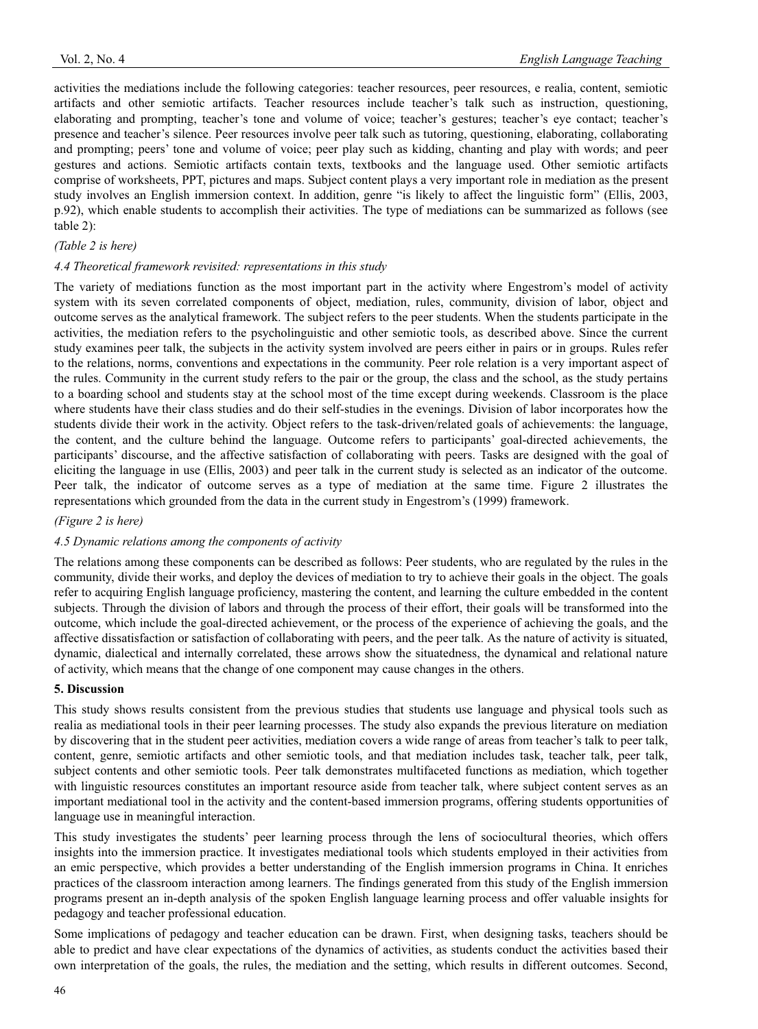activities the mediations include the following categories: teacher resources, peer resources, e realia, content, semiotic artifacts and other semiotic artifacts. Teacher resources include teacher's talk such as instruction, questioning, elaborating and prompting, teacher's tone and volume of voice; teacher's gestures; teacher's eye contact; teacher's presence and teacher's silence. Peer resources involve peer talk such as tutoring, questioning, elaborating, collaborating and prompting; peers' tone and volume of voice; peer play such as kidding, chanting and play with words; and peer gestures and actions. Semiotic artifacts contain texts, textbooks and the language used. Other semiotic artifacts comprise of worksheets, PPT, pictures and maps. Subject content plays a very important role in mediation as the present study involves an English immersion context. In addition, genre "is likely to affect the linguistic form" (Ellis, 2003, p.92), which enable students to accomplish their activities. The type of mediations can be summarized as follows (see table 2):

#### *(Table 2 is here)*

#### *4.4 Theoretical framework revisited: representations in this study*

The variety of mediations function as the most important part in the activity where Engestrom's model of activity system with its seven correlated components of object, mediation, rules, community, division of labor, object and outcome serves as the analytical framework. The subject refers to the peer students. When the students participate in the activities, the mediation refers to the psycholinguistic and other semiotic tools, as described above. Since the current study examines peer talk, the subjects in the activity system involved are peers either in pairs or in groups. Rules refer to the relations, norms, conventions and expectations in the community. Peer role relation is a very important aspect of the rules. Community in the current study refers to the pair or the group, the class and the school, as the study pertains to a boarding school and students stay at the school most of the time except during weekends. Classroom is the place where students have their class studies and do their self-studies in the evenings. Division of labor incorporates how the students divide their work in the activity. Object refers to the task-driven/related goals of achievements: the language, the content, and the culture behind the language. Outcome refers to participants' goal-directed achievements, the participants' discourse, and the affective satisfaction of collaborating with peers. Tasks are designed with the goal of eliciting the language in use (Ellis, 2003) and peer talk in the current study is selected as an indicator of the outcome. Peer talk, the indicator of outcome serves as a type of mediation at the same time. Figure 2 illustrates the representations which grounded from the data in the current study in Engestrom's (1999) framework.

#### *(Figure 2 is here)*

#### *4.5 Dynamic relations among the components of activity*

The relations among these components can be described as follows: Peer students, who are regulated by the rules in the community, divide their works, and deploy the devices of mediation to try to achieve their goals in the object. The goals refer to acquiring English language proficiency, mastering the content, and learning the culture embedded in the content subjects. Through the division of labors and through the process of their effort, their goals will be transformed into the outcome, which include the goal-directed achievement, or the process of the experience of achieving the goals, and the affective dissatisfaction or satisfaction of collaborating with peers, and the peer talk. As the nature of activity is situated, dynamic, dialectical and internally correlated, these arrows show the situatedness, the dynamical and relational nature of activity, which means that the change of one component may cause changes in the others.

#### **5. Discussion**

This study shows results consistent from the previous studies that students use language and physical tools such as realia as mediational tools in their peer learning processes. The study also expands the previous literature on mediation by discovering that in the student peer activities, mediation covers a wide range of areas from teacher's talk to peer talk, content, genre, semiotic artifacts and other semiotic tools, and that mediation includes task, teacher talk, peer talk, subject contents and other semiotic tools. Peer talk demonstrates multifaceted functions as mediation, which together with linguistic resources constitutes an important resource aside from teacher talk, where subject content serves as an important mediational tool in the activity and the content-based immersion programs, offering students opportunities of language use in meaningful interaction.

This study investigates the students' peer learning process through the lens of sociocultural theories, which offers insights into the immersion practice. It investigates mediational tools which students employed in their activities from an emic perspective, which provides a better understanding of the English immersion programs in China. It enriches practices of the classroom interaction among learners. The findings generated from this study of the English immersion programs present an in-depth analysis of the spoken English language learning process and offer valuable insights for pedagogy and teacher professional education.

Some implications of pedagogy and teacher education can be drawn. First, when designing tasks, teachers should be able to predict and have clear expectations of the dynamics of activities, as students conduct the activities based their own interpretation of the goals, the rules, the mediation and the setting, which results in different outcomes. Second,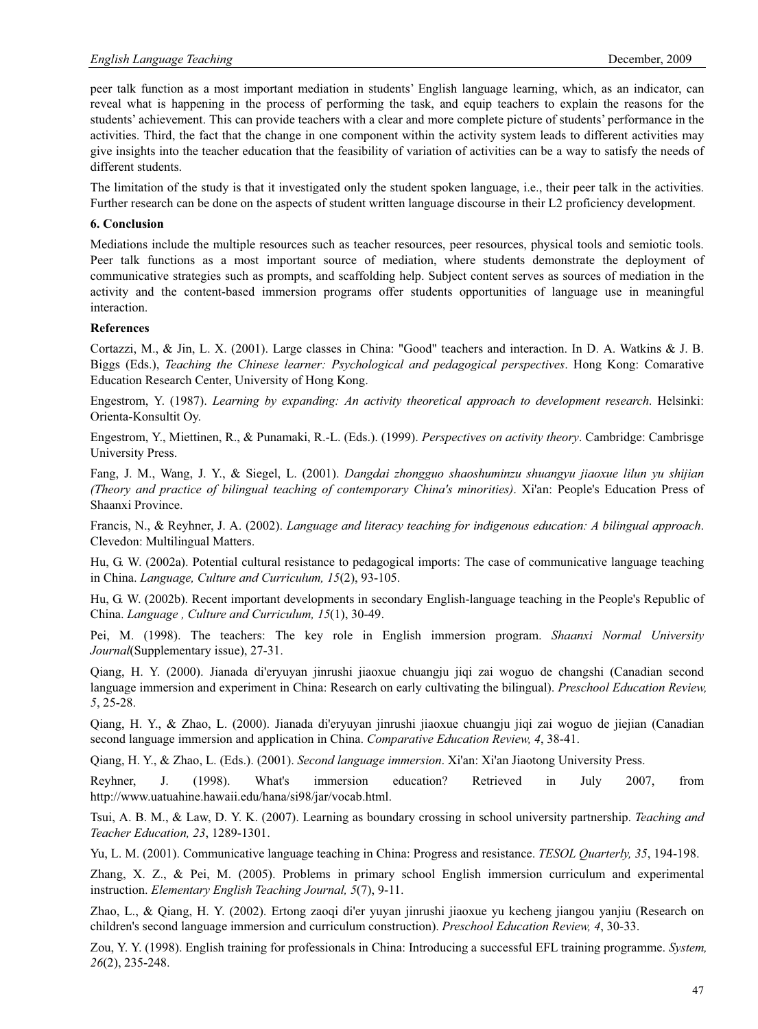peer talk function as a most important mediation in students' English language learning, which, as an indicator, can reveal what is happening in the process of performing the task, and equip teachers to explain the reasons for the students' achievement. This can provide teachers with a clear and more complete picture of students' performance in the activities. Third, the fact that the change in one component within the activity system leads to different activities may give insights into the teacher education that the feasibility of variation of activities can be a way to satisfy the needs of different students.

The limitation of the study is that it investigated only the student spoken language, i.e., their peer talk in the activities. Further research can be done on the aspects of student written language discourse in their L2 proficiency development.

#### **6. Conclusion**

Mediations include the multiple resources such as teacher resources, peer resources, physical tools and semiotic tools. Peer talk functions as a most important source of mediation, where students demonstrate the deployment of communicative strategies such as prompts, and scaffolding help. Subject content serves as sources of mediation in the activity and the content-based immersion programs offer students opportunities of language use in meaningful interaction.

#### **References**

Cortazzi, M., & Jin, L. X. (2001). Large classes in China: "Good" teachers and interaction. In D. A. Watkins & J. B. Biggs (Eds.), *Teaching the Chinese learner: Psychological and pedagogical perspectives*. Hong Kong: Comarative Education Research Center, University of Hong Kong.

Engestrom, Y. (1987). *Learning by expanding: An activity theoretical approach to development research*. Helsinki: Orienta-Konsultit Oy.

Engestrom, Y., Miettinen, R., & Punamaki, R.-L. (Eds.). (1999). *Perspectives on activity theory*. Cambridge: Cambrisge University Press.

Fang, J. M., Wang, J. Y., & Siegel, L. (2001). *Dangdai zhongguo shaoshuminzu shuangyu jiaoxue lilun yu shijian (Theory and practice of bilingual teaching of contemporary China's minorities)*. Xi'an: People's Education Press of Shaanxi Province.

Francis, N., & Reyhner, J. A. (2002). *Language and literacy teaching for indigenous education: A bilingual approach*. Clevedon: Multilingual Matters.

Hu, G. W. (2002a). Potential cultural resistance to pedagogical imports: The case of communicative language teaching in China. *Language, Culture and Curriculum, 15*(2), 93-105.

Hu, G. W. (2002b). Recent important developments in secondary English-language teaching in the People's Republic of China. *Language , Culture and Curriculum, 15*(1), 30-49.

Pei, M. (1998). The teachers: The key role in English immersion program. *Shaanxi Normal University Journal*(Supplementary issue), 27-31.

Qiang, H. Y. (2000). Jianada di'eryuyan jinrushi jiaoxue chuangju jiqi zai woguo de changshi (Canadian second language immersion and experiment in China: Research on early cultivating the bilingual). *Preschool Education Review, 5*, 25-28.

Qiang, H. Y., & Zhao, L. (2000). Jianada di'eryuyan jinrushi jiaoxue chuangju jiqi zai woguo de jiejian (Canadian second language immersion and application in China. *Comparative Education Review, 4*, 38-41.

Qiang, H. Y., & Zhao, L. (Eds.). (2001). *Second language immersion*. Xi'an: Xi'an Jiaotong University Press.

Reyhner, J. (1998). What's immersion education? Retrieved in July 2007, from http://www.uatuahine.hawaii.edu/hana/si98/jar/vocab.html.

Tsui, A. B. M., & Law, D. Y. K. (2007). Learning as boundary crossing in school university partnership. *Teaching and Teacher Education, 23*, 1289-1301.

Yu, L. M. (2001). Communicative language teaching in China: Progress and resistance. *TESOL Quarterly, 35*, 194-198.

Zhang, X. Z., & Pei, M. (2005). Problems in primary school English immersion curriculum and experimental instruction. *Elementary English Teaching Journal, 5*(7), 9-11.

Zhao, L., & Qiang, H. Y. (2002). Ertong zaoqi di'er yuyan jinrushi jiaoxue yu kecheng jiangou yanjiu (Research on children's second language immersion and curriculum construction). *Preschool Education Review, 4*, 30-33.

Zou, Y. Y. (1998). English training for professionals in China: Introducing a successful EFL training programme. *System, 26*(2), 235-248.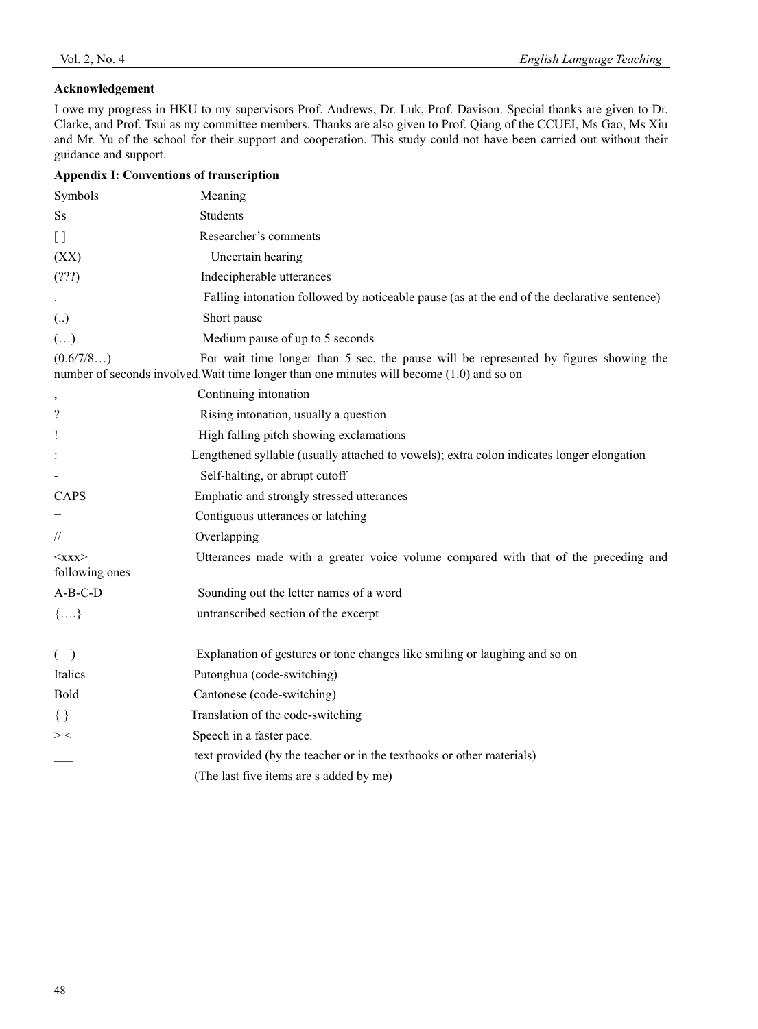## **Acknowledgement**

I owe my progress in HKU to my supervisors Prof. Andrews, Dr. Luk, Prof. Davison. Special thanks are given to Dr. Clarke, and Prof. Tsui as my committee members. Thanks are also given to Prof. Qiang of the CCUEI, Ms Gao, Ms Xiu and Mr. Yu of the school for their support and cooperation. This study could not have been carried out without their guidance and support.

| <b>Appendix I: Conventions of transcription</b> |                                                                                                                                                                                    |
|-------------------------------------------------|------------------------------------------------------------------------------------------------------------------------------------------------------------------------------------|
| Symbols                                         | Meaning                                                                                                                                                                            |
| <b>Ss</b>                                       | Students                                                                                                                                                                           |
| $[ \ ]$                                         | Researcher's comments                                                                                                                                                              |
| (XX)                                            | Uncertain hearing                                                                                                                                                                  |
| (?)?)                                           | Indecipherable utterances                                                                                                                                                          |
|                                                 | Falling intonation followed by noticeable pause (as at the end of the declarative sentence)                                                                                        |
| $\left(  \right)$                               | Short pause                                                                                                                                                                        |
| $\left( \ldots \right)$                         | Medium pause of up to 5 seconds                                                                                                                                                    |
| (0.6/7/8)                                       | For wait time longer than 5 sec, the pause will be represented by figures showing the<br>number of seconds involved. Wait time longer than one minutes will become (1.0) and so on |
|                                                 | Continuing intonation                                                                                                                                                              |
| $\gamma$                                        | Rising intonation, usually a question                                                                                                                                              |
| ï                                               | High falling pitch showing exclamations                                                                                                                                            |
|                                                 | Lengthened syllable (usually attached to vowels); extra colon indicates longer elongation                                                                                          |
|                                                 | Self-halting, or abrupt cutoff                                                                                                                                                     |
| <b>CAPS</b>                                     | Emphatic and strongly stressed utterances                                                                                                                                          |
|                                                 | Contiguous utterances or latching                                                                                                                                                  |
| $\frac{1}{2}$                                   | Overlapping                                                                                                                                                                        |
| $\langle$ xxx><br>following ones                | Utterances made with a greater voice volume compared with that of the preceding and                                                                                                |
| $A-B-C-D$                                       | Sounding out the letter names of a word                                                                                                                                            |
| ${,}$                                           | untranscribed section of the excerpt                                                                                                                                               |
| $($ )                                           | Explanation of gestures or tone changes like smiling or laughing and so on                                                                                                         |
| Italics                                         | Putonghua (code-switching)                                                                                                                                                         |
| Bold                                            | Cantonese (code-switching)                                                                                                                                                         |
| $\{\}$                                          | Translation of the code-switching                                                                                                                                                  |
| $>$ <                                           | Speech in a faster pace.                                                                                                                                                           |
|                                                 | text provided (by the teacher or in the textbooks or other materials)                                                                                                              |
|                                                 | (The last five items are s added by me)                                                                                                                                            |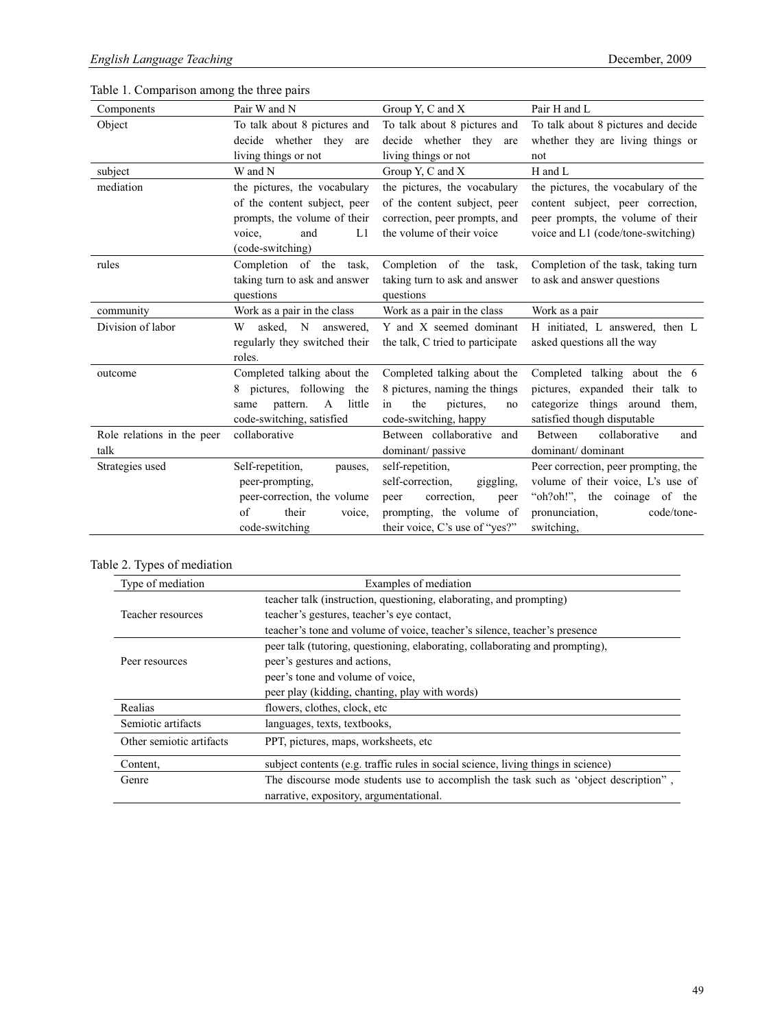|  | Table 1. Comparison among the three pairs |  |  |
|--|-------------------------------------------|--|--|
|  |                                           |  |  |

| Components                 | Pair W and N                    | Group Y, C and X                 | Pair H and L                         |
|----------------------------|---------------------------------|----------------------------------|--------------------------------------|
| Object                     | To talk about 8 pictures and    | To talk about 8 pictures and     | To talk about 8 pictures and decide  |
|                            | decide whether they<br>are      | decide whether they<br>are       | whether they are living things or    |
|                            | living things or not            | living things or not             | not                                  |
| subject                    | W and N                         | Group Y, C and X                 | H and L                              |
| mediation                  | the pictures, the vocabulary    | the pictures, the vocabulary     | the pictures, the vocabulary of the  |
|                            | of the content subject, peer    | of the content subject, peer     | content subject, peer correction,    |
|                            | prompts, the volume of their    | correction, peer prompts, and    | peer prompts, the volume of their    |
|                            | voice,<br>and<br>L1             | the volume of their voice        | voice and L1 (code/tone-switching)   |
|                            | (code-switching)                |                                  |                                      |
| rules                      | Completion of the task,         | Completion of the task,          | Completion of the task, taking turn  |
|                            | taking turn to ask and answer   | taking turn to ask and answer    | to ask and answer questions          |
|                            | questions                       | questions                        |                                      |
| community                  | Work as a pair in the class     | Work as a pair in the class      | Work as a pair                       |
| Division of labor          | asked, N<br>W<br>answered,      | Y and X seemed dominant          | H initiated, L answered, then L      |
|                            | regularly they switched their   | the talk, C tried to participate | asked questions all the way          |
|                            | roles.                          |                                  |                                      |
| outcome                    | Completed talking about the     | Completed talking about the      | Completed talking about the 6        |
|                            | 8 pictures, following the       | 8 pictures, naming the things    | pictures, expanded their talk to     |
|                            | little<br>pattern.<br>A<br>same | the<br>pictures.<br>in<br>no     | categorize things around them,       |
|                            | code-switching, satisfied       | code-switching, happy            | satisfied though disputable          |
| Role relations in the peer | collaborative                   | Between collaborative and        | collaborative<br>Between<br>and      |
| talk                       |                                 | dominant/ passive                | dominant/dominant                    |
| Strategies used            | Self-repetition,<br>pauses,     | self-repetition,                 | Peer correction, peer prompting, the |
|                            | peer-prompting,                 | self-correction,<br>giggling,    | volume of their voice, L's use of    |
|                            | peer-correction, the volume     | correction,<br>peer<br>peer      | "oh?oh!", the coinage of the         |
|                            | of<br>their<br>voice,           | prompting, the volume of         | pronunciation.<br>code/tone-         |
|                            | code-switching                  | their voice, C's use of "yes?"   | switching,                           |

## Table 2. Types of mediation

| Type of mediation        | Examples of mediation                                                                |  |
|--------------------------|--------------------------------------------------------------------------------------|--|
|                          | teacher talk (instruction, questioning, elaborating, and prompting)                  |  |
| Teacher resources        | teacher's gestures, teacher's eye contact,                                           |  |
|                          | teacher's tone and volume of voice, teacher's silence, teacher's presence            |  |
|                          | peer talk (tutoring, questioning, elaborating, collaborating and prompting),         |  |
| Peer resources           | peer's gestures and actions,                                                         |  |
|                          | peer's tone and volume of voice,                                                     |  |
|                          | peer play (kidding, chanting, play with words)                                       |  |
| Realias                  | flowers, clothes, clock, etc.                                                        |  |
| Semiotic artifacts       | languages, texts, textbooks,                                                         |  |
| Other semiotic artifacts | PPT, pictures, maps, worksheets, etc.                                                |  |
| Content,                 | subject contents (e.g. traffic rules in social science, living things in science)    |  |
| Genre                    | The discourse mode students use to accomplish the task such as 'object description", |  |
|                          | narrative, expository, argumentational.                                              |  |